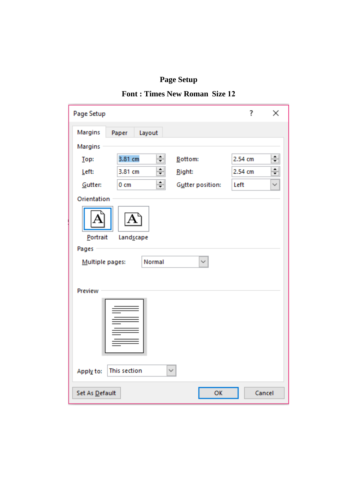**Page Setup**

# **Font : Times New Roman Size 12**

| Page Setup                                          | ?       | ×            |  |  |  |  |
|-----------------------------------------------------|---------|--------------|--|--|--|--|
| Margins<br>Layout<br>Paper                          |         |              |  |  |  |  |
| Margins                                             |         |              |  |  |  |  |
| $\div$<br>3.81 cm<br>Bottom:<br>Top:                | 2.54 cm | $\div$       |  |  |  |  |
| ÷<br>3.81 cm<br>Left:<br>Right:                     | 2.54 cm | $\div$       |  |  |  |  |
| ╣<br>Gutter position:<br>Gutter:<br>0 <sub>cm</sub> | Left    | $\checkmark$ |  |  |  |  |
| Orientation                                         |         |              |  |  |  |  |
| Portrait<br>Landscape                               |         |              |  |  |  |  |
| Pages                                               |         |              |  |  |  |  |
| Normal<br>$\checkmark$<br>Multiple pages:           |         |              |  |  |  |  |
|                                                     |         |              |  |  |  |  |
| Preview                                             |         |              |  |  |  |  |
| This section<br>$\checkmark$<br>Apply to:           |         |              |  |  |  |  |
| OK<br>Set As Default<br>Cancel                      |         |              |  |  |  |  |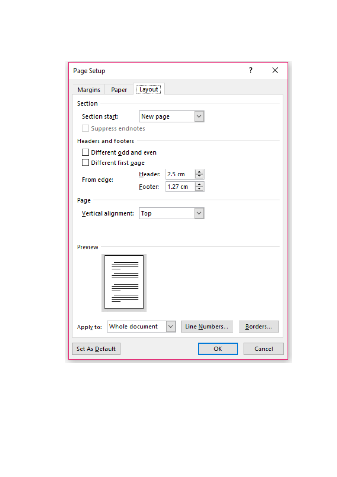| Page Setup                                                  |         |        |    | ? | × |
|-------------------------------------------------------------|---------|--------|----|---|---|
| Margins<br>Paper                                            | Layout  |        |    |   |   |
| Section                                                     |         |        |    |   |   |
| Section start:<br>New page<br>✓                             |         |        |    |   |   |
| Suppress endnotes                                           |         |        |    |   |   |
| <b>Headers and footers</b>                                  |         |        |    |   |   |
| Different odd and even                                      |         |        |    |   |   |
| Different first page                                        |         |        |    |   |   |
| From edge:                                                  | Header: | 2.5 cm | ≑∣ |   |   |
| ≑<br>1.27 cm<br>Footer:                                     |         |        |    |   |   |
| Page                                                        |         |        |    |   |   |
| Vertical alignment:                                         | Top     |        | ✓  |   |   |
|                                                             |         |        |    |   |   |
|                                                             |         |        |    |   |   |
| Preview                                                     |         |        |    |   |   |
|                                                             |         |        |    |   |   |
|                                                             |         |        |    |   |   |
|                                                             |         |        |    |   |   |
|                                                             |         |        |    |   |   |
|                                                             |         |        |    |   |   |
| Line Numbers<br>Whole document<br>Borders<br>Apply to:<br>✓ |         |        |    |   |   |
| OK<br>Cancel<br>Set As Default                              |         |        |    |   |   |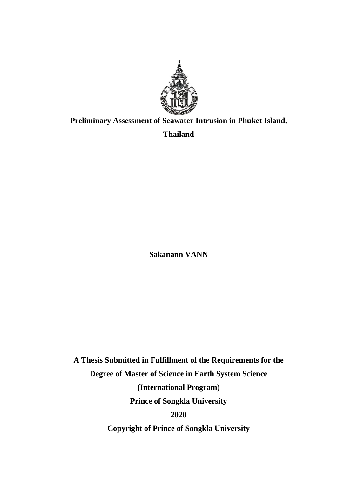

## **Preliminary Assessment of Seawater Intrusion in Phuket Island,**

**Thailand**

**Sakanann VANN**

**A Thesis Submitted in Fulfillment of the Requirements for the Degree of Master of Science in Earth System Science (International Program) Prince of Songkla University 2020**

**Copyright of Prince of Songkla University**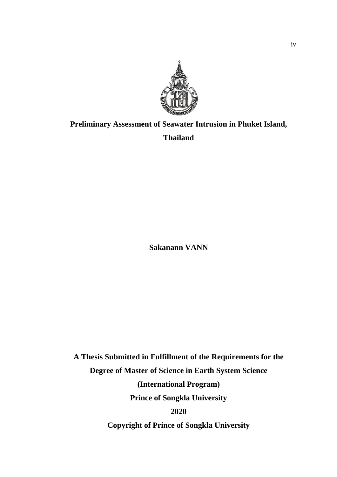

# **Preliminary Assessment of Seawater Intrusion in Phuket Island, Thailand**

**Sakanann VANN**

**A Thesis Submitted in Fulfillment of the Requirements for the Degree of Master of Science in Earth System Science (International Program) Prince of Songkla University 2020 Copyright of Prince of Songkla University**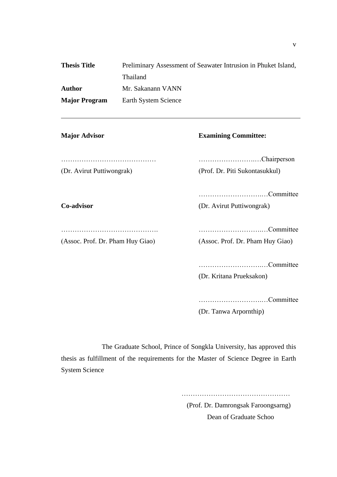| <b>Thesis Title</b>  | Preliminary Assessment of Seawater Intrusion in Phuket Island, |
|----------------------|----------------------------------------------------------------|
|                      | <b>Thailand</b>                                                |
| Author               | Mr. Sakanann VANN                                              |
| <b>Major Program</b> | Earth System Science                                           |

**Major Advisor Examining Committee:**

…………………………………… …………………….…Chairperson (Dr. Avirut Puttiwongrak) (Prof. Dr. Piti Sukontasukkul)

……………………….…Committee

**Co-advisor** (Dr. Avirut Puttiwongrak)

……………………………………. ……………………….…Committee

(Assoc. Prof. Dr. Pham Huy Giao) (Assoc. Prof. Dr. Pham Huy Giao)

……………………….…Committee

(Dr. Kritana Prueksakon)

……………………….…Committee

(Dr. Tanwa Arpornthip)

The Graduate School, Prince of Songkla University, has approved this thesis as fulfillment of the requirements for the Master of Science Degree in Earth System Science

> ………………………………………… (Prof. Dr. Damrongsak Faroongsarng) Dean of Graduate Schoo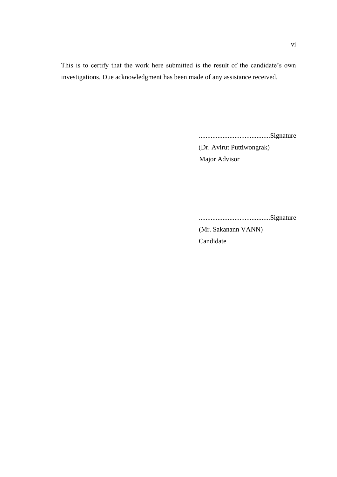This is to certify that the work here submitted is the result of the candidate's own investigations. Due acknowledgment has been made of any assistance received.

..........................................Signature

 (Dr. Avirut Puttiwongrak) Major Advisor

..........................................Signature

 (Mr. Sakanann VANN) Candidate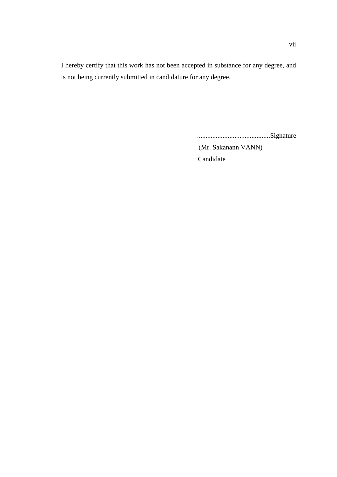I hereby certify that this work has not been accepted in substance for any degree, and is not being currently submitted in candidature for any degree.

...........................................Signature

 (Mr. Sakanann VANN) Candidate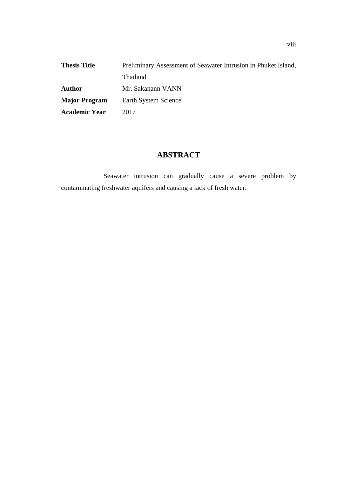| <b>Thesis Title</b>  | Preliminary Assessment of Seawater Intrusion in Phuket Island, |
|----------------------|----------------------------------------------------------------|
|                      | <b>Thailand</b>                                                |
| Author               | Mr. Sakanann VANN                                              |
| <b>Major Program</b> | Earth System Science                                           |
| <b>Academic Year</b> | 2017                                                           |

## **ABSTRACT**

Seawater intrusion can gradually cause a severe problem by contaminating freshwater aquifers and causing a lack of fresh water.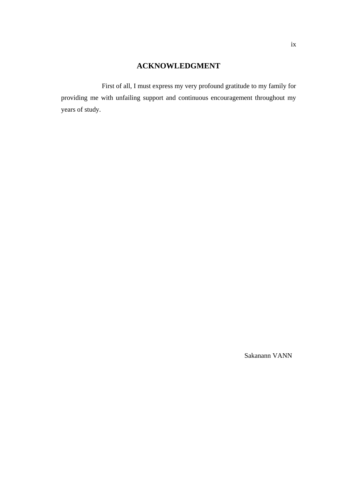### **ACKNOWLEDGMENT**

First of all, I must express my very profound gratitude to my family for providing me with unfailing support and continuous encouragement throughout my years of study.

Sakanann VANN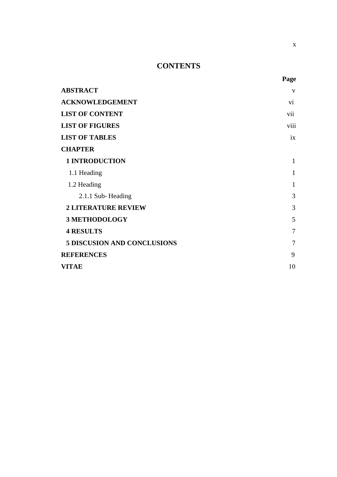## **CONTENTS**

| <b>ABSTRACT</b>                    | V              |
|------------------------------------|----------------|
| <b>ACKNOWLEDGEMENT</b>             | vi             |
| <b>LIST OF CONTENT</b>             | vii            |
| <b>LIST OF FIGURES</b>             | viii           |
| <b>LIST OF TABLES</b>              | ix             |
| <b>CHAPTER</b>                     |                |
| <b>1 INTRODUCTION</b>              | $\mathbf{1}$   |
| 1.1 Heading                        | $\mathbf{1}$   |
| 1.2 Heading                        | $\mathbf{1}$   |
| 2.1.1 Sub-Heading                  | 3              |
| <b>2 LITERATURE REVIEW</b>         | 3              |
| <b>3 METHODOLOGY</b>               | 5              |
| <b>4 RESULTS</b>                   | $\overline{7}$ |
| <b>5 DISCUSION AND CONCLUSIONS</b> | $\overline{7}$ |
| <b>REFERENCES</b>                  | 9              |
| <b>VITAE</b>                       | 10             |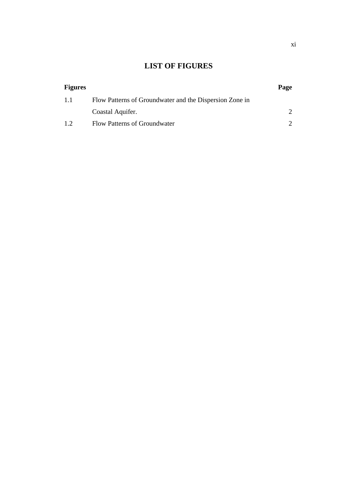# **LIST OF FIGURES**

| <b>Figures</b> |                                                         | Page |
|----------------|---------------------------------------------------------|------|
| 1.1            | Flow Patterns of Groundwater and the Dispersion Zone in |      |
|                | Coastal Aquifer.                                        |      |
| 1.2            | Flow Patterns of Groundwater                            |      |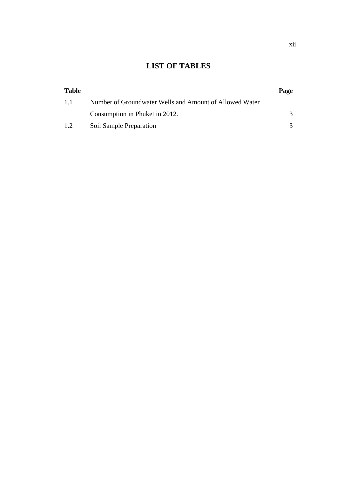# **LIST OF TABLES**

| <b>Table</b> |                                                         | Page |
|--------------|---------------------------------------------------------|------|
| 1.1          | Number of Groundwater Wells and Amount of Allowed Water |      |
|              | Consumption in Phuket in 2012.                          |      |
| 1.2          | Soil Sample Preparation                                 |      |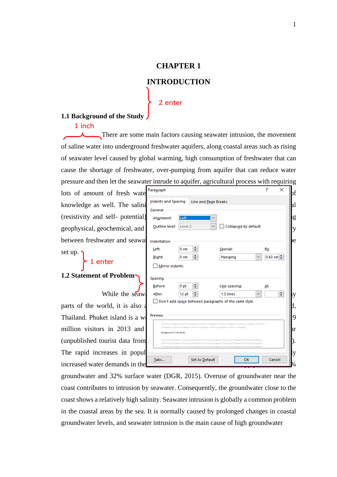### **CHAPTER 1**

### **INTRODUCTION**

#### **2 enter**

#### **1.1 Background of the Study**

#### **1 inch**

There are some main factors causing seawater intrusion, the movement of saline water into underground freshwater aquifers, along coastal areas such as rising of seawater level caused by global warming, high consumption of freshwater that can cause the shortage of freshwater, over-pumping from aquifer that can reduce water pressure and then let the seawater intrude to aquifer, agricultural process with requiring

lots of amount of fresh water Paragraph knowledge as well. The salini (resistivity and self- potential) geophysical, geochemical, and between freshwater and seawater set up.

### **1 enter**

### **1.2 Statement of Problem**

While the seawa

parts of the world, it is also a Thailand. Phuket island is a we million visitors in  $2013$  and (unpublished tourist data from The rapid increases in popul increased water demands in the

| Indents and Spacing<br>Line and Page Breaks<br>Left<br>Alignment:<br>Collapsed by default<br>Outline level:<br>Level <sub>2</sub><br>۰<br>Special:<br>Left:<br>0 <sub>cm</sub><br>By:<br>┯<br>÷<br>$0.63$ cm $-$<br>Hanging<br>Right:<br>0 <sub>cm</sub><br><b>Mirror indents</b><br>÷<br>Before:<br>0 <sub>pt</sub><br>Line spacing:<br>At:<br>≑∣<br>$\div$<br>1.5 lines<br>12 <sub>pt</sub><br>After:<br>$\checkmark$<br>Don't add space between paragraphs of the same style | . <del>.</del> |                |    |        |
|---------------------------------------------------------------------------------------------------------------------------------------------------------------------------------------------------------------------------------------------------------------------------------------------------------------------------------------------------------------------------------------------------------------------------------------------------------------------------------|----------------|----------------|----|--------|
| General<br>Indentation<br>Spacing                                                                                                                                                                                                                                                                                                                                                                                                                                               |                |                |    |        |
|                                                                                                                                                                                                                                                                                                                                                                                                                                                                                 |                |                |    |        |
|                                                                                                                                                                                                                                                                                                                                                                                                                                                                                 |                |                |    |        |
|                                                                                                                                                                                                                                                                                                                                                                                                                                                                                 |                |                |    |        |
|                                                                                                                                                                                                                                                                                                                                                                                                                                                                                 |                |                |    |        |
|                                                                                                                                                                                                                                                                                                                                                                                                                                                                                 |                |                |    |        |
|                                                                                                                                                                                                                                                                                                                                                                                                                                                                                 |                |                |    |        |
|                                                                                                                                                                                                                                                                                                                                                                                                                                                                                 |                |                |    |        |
|                                                                                                                                                                                                                                                                                                                                                                                                                                                                                 |                |                |    |        |
|                                                                                                                                                                                                                                                                                                                                                                                                                                                                                 |                |                |    |        |
|                                                                                                                                                                                                                                                                                                                                                                                                                                                                                 |                |                |    |        |
|                                                                                                                                                                                                                                                                                                                                                                                                                                                                                 |                |                |    |        |
|                                                                                                                                                                                                                                                                                                                                                                                                                                                                                 | Preview        |                |    |        |
|                                                                                                                                                                                                                                                                                                                                                                                                                                                                                 |                |                |    |        |
| Previous Paragraph Previous Paragraph Previous Paragraph Previous Paragraph Previous Paragraph Previous                                                                                                                                                                                                                                                                                                                                                                         |                |                |    |        |
| Paragraph Previous Paragraph Previous Paragraph Previous Paragraph Previous Paragraph<br>Background of the Study                                                                                                                                                                                                                                                                                                                                                                |                |                |    |        |
| Following Paragraph Following Paragraph Following Paragraph Following Paragraph Following Paragraph                                                                                                                                                                                                                                                                                                                                                                             |                |                |    |        |
| Following Paragraph Following Paragraph Following Paragraph Following Paragraph Following Paragraph<br>Following Paragraph Following Paragraph Following Paragraph Following Paragraph Following Paragraph                                                                                                                                                                                                                                                                      |                |                |    |        |
|                                                                                                                                                                                                                                                                                                                                                                                                                                                                                 | Tabs           | Set As Default | OK | Cancel |

groundwater and 32% surface water (DGR, 2015). Overuse of groundwater near the coast contributes to intrusion by seawater. Consequently, the groundwater close to the coast shows a relatively high salinity. Seawater intrusion is globally a common problem in the coastal areas by the sea. It is normally caused by prolonged changes in coastal groundwater levels, and seawater intrusion is the main cause of high groundwater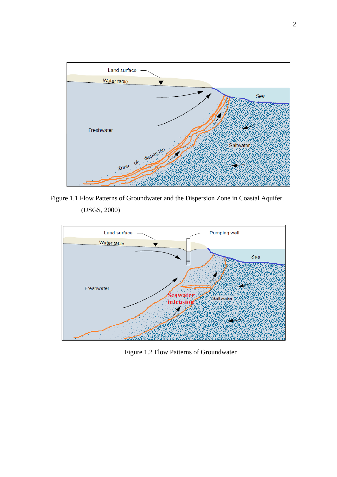

Figure 1.1 Flow Patterns of Groundwater and the Dispersion Zone in Coastal Aquifer. (USGS, 2000)



Figure 1.2 Flow Patterns of Groundwater